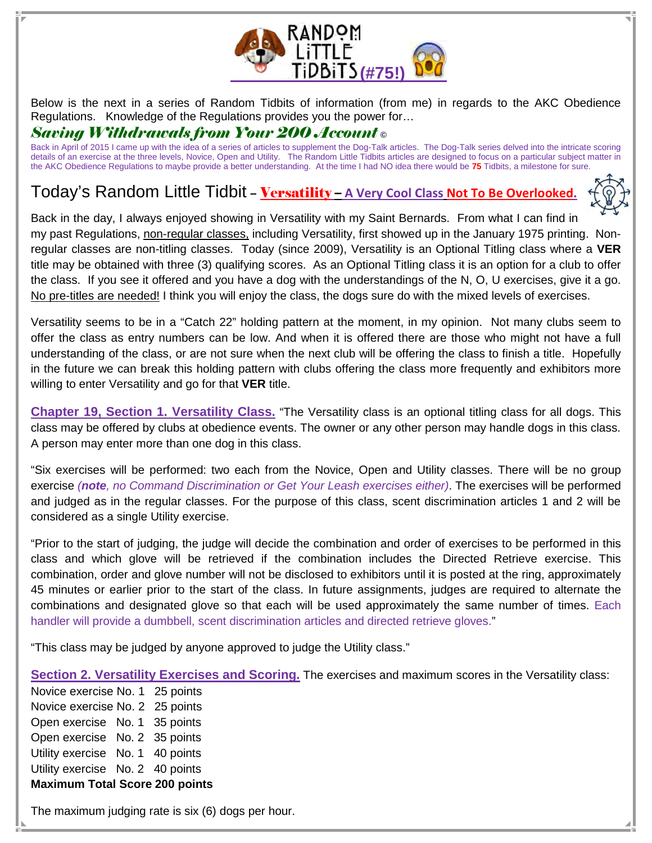

Below is the next in a series of Random Tidbits of information (from me) in regards to the AKC Obedience Regulations. Knowledge of the Regulations provides you the power for…

## Saving Withdrawals from Your 200 Account **©**

Back in April of 2015 I came up with the idea of a series of articles to supplement the Dog-Talk articles. The Dog-Talk series delved into the intricate scoring details of an exercise at the three levels, Novice, Open and Utility. The Random Little Tidbits articles are designed to focus on a particular subject matter in the AKC Obedience Regulations to maybe provide a better understanding. At the time I had NO idea there would be **75** Tidbits, a milestone for sure.

## Today's Random Little Tidbit - Versatility - A Very Cool Class Not To Be Overlooked.



Back in the day, I always enjoyed showing in Versatility with my Saint Bernards. From what I can find in my past Regulations, non-regular classes, including Versatility, first showed up in the January 1975 printing. Nonregular classes are non-titling classes. Today (since 2009), Versatility is an Optional Titling class where a **VER** title may be obtained with three (3) qualifying scores. As an Optional Titling class it is an option for a club to offer the class. If you see it offered and you have a dog with the understandings of the N, O, U exercises, give it a go. No pre-titles are needed! I think you will enjoy the class, the dogs sure do with the mixed levels of exercises.

Versatility seems to be in a "Catch 22" holding pattern at the moment, in my opinion. Not many clubs seem to offer the class as entry numbers can be low. And when it is offered there are those who might not have a full understanding of the class, or are not sure when the next club will be offering the class to finish a title. Hopefully in the future we can break this holding pattern with clubs offering the class more frequently and exhibitors more willing to enter Versatility and go for that **VER** title.

**Chapter 19, Section 1. Versatility Class.** "The Versatility class is an optional titling class for all dogs. This class may be offered by clubs at obedience events. The owner or any other person may handle dogs in this class. A person may enter more than one dog in this class.

"Six exercises will be performed: two each from the Novice, Open and Utility classes. There will be no group exercise (**note**, no Command Discrimination or Get Your Leash exercises either). The exercises will be performed and judged as in the regular classes. For the purpose of this class, scent discrimination articles 1 and 2 will be considered as a single Utility exercise.

"Prior to the start of judging, the judge will decide the combination and order of exercises to be performed in this class and which glove will be retrieved if the combination includes the Directed Retrieve exercise. This combination, order and glove number will not be disclosed to exhibitors until it is posted at the ring, approximately 45 minutes or earlier prior to the start of the class. In future assignments, judges are required to alternate the combinations and designated glove so that each will be used approximately the same number of times. Each handler will provide a dumbbell, scent discrimination articles and directed retrieve gloves."

"This class may be judged by anyone approved to judge the Utility class."

**Section 2. Versatility Exercises and Scoring.** The exercises and maximum scores in the Versatility class:

Novice exercise No. 1 25 points Novice exercise No. 2 25 points Open exercise No. 1 35 points Open exercise No. 2 35 points Utility exercise No. 1 40 points Utility exercise No. 2 40 points **Maximum Total Score 200 points** 

The maximum judging rate is six (6) dogs per hour.